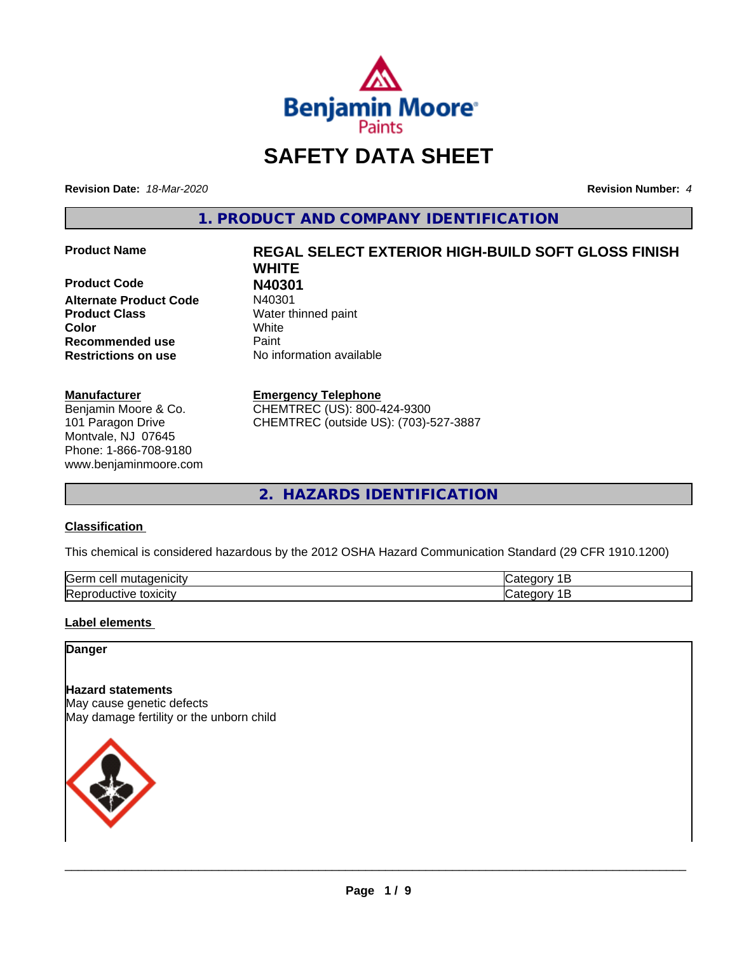

## **SAFETY DATA SHEET**

**Revision Date:** *18-Mar-2020* **Revision Number:** *4*

**1. PRODUCT AND COMPANY IDENTIFICATION**

**Product Code N40301 Alternate Product Code Product Class** Water thinned paint **Color** White **Recommended use** Paint **Restrictions on use** No information available

#### **Manufacturer**

Benjamin Moore & Co. 101 Paragon Drive Montvale, NJ 07645 Phone: 1-866-708-9180 www.benjaminmoore.com

# **Product Name REGAL SELECT EXTERIOR HIGH-BUILD SOFT GLOSS FINISH WHITE**

#### **Emergency Telephone**

CHEMTREC (US): 800-424-9300 CHEMTREC (outside US): (703)-527-3887

**2. HAZARDS IDENTIFICATION**

#### **Classification**

This chemical is considered hazardous by the 2012 OSHA Hazard Communication Standard (29 CFR 1910.1200)

| <b>Serr</b><br>---<br>$\cdot$          |  |
|----------------------------------------|--|
| <b>Re</b><br>*OXICItV<br>174<br>и<br>ш |  |

#### **Label elements**

#### **Danger**

**Hazard statements** May cause genetic defects May damage fertility or the unborn child

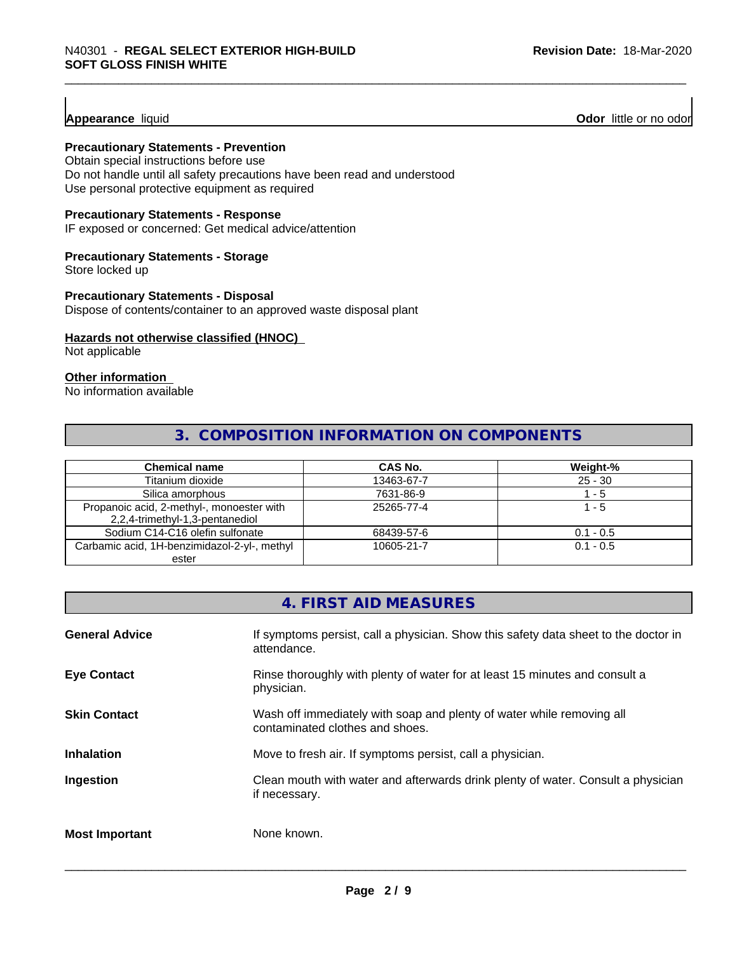**Appearance** liquid **Odor 11** Odor little or no odor

#### **Precautionary Statements - Prevention**

Obtain special instructions before use Do not handle until all safety precautions have been read and understood Use personal protective equipment as required

#### **Precautionary Statements - Response**

IF exposed or concerned: Get medical advice/attention

#### **Precautionary Statements - Storage**

Store locked up

#### **Precautionary Statements - Disposal**

Dispose of contents/container to an approved waste disposal plant

#### **Hazards not otherwise classified (HNOC)**

Not applicable

#### **Other information**

No information available

#### **3. COMPOSITION INFORMATION ON COMPONENTS**

| <b>Chemical name</b>                         | CAS No.    | Weight-%    |
|----------------------------------------------|------------|-------------|
| Titanium dioxide                             | 13463-67-7 | $25 - 30$   |
| Silica amorphous                             | 7631-86-9  | - 5         |
| Propanoic acid, 2-methyl-, monoester with    | 25265-77-4 | 1 - 5       |
| 2,2,4-trimethyl-1,3-pentanediol              |            |             |
| Sodium C14-C16 olefin sulfonate              | 68439-57-6 | $0.1 - 0.5$ |
| Carbamic acid, 1H-benzimidazol-2-yl-, methyl | 10605-21-7 | $0.1 - 0.5$ |
| ester                                        |            |             |

### **4. FIRST AID MEASURES**

| <b>General Advice</b> | If symptoms persist, call a physician. Show this safety data sheet to the doctor in<br>attendance.       |
|-----------------------|----------------------------------------------------------------------------------------------------------|
| <b>Eye Contact</b>    | Rinse thoroughly with plenty of water for at least 15 minutes and consult a<br>physician.                |
| <b>Skin Contact</b>   | Wash off immediately with soap and plenty of water while removing all<br>contaminated clothes and shoes. |
| <b>Inhalation</b>     | Move to fresh air. If symptoms persist, call a physician.                                                |
| Ingestion             | Clean mouth with water and afterwards drink plenty of water. Consult a physician<br>if necessary.        |
| <b>Most Important</b> | None known.                                                                                              |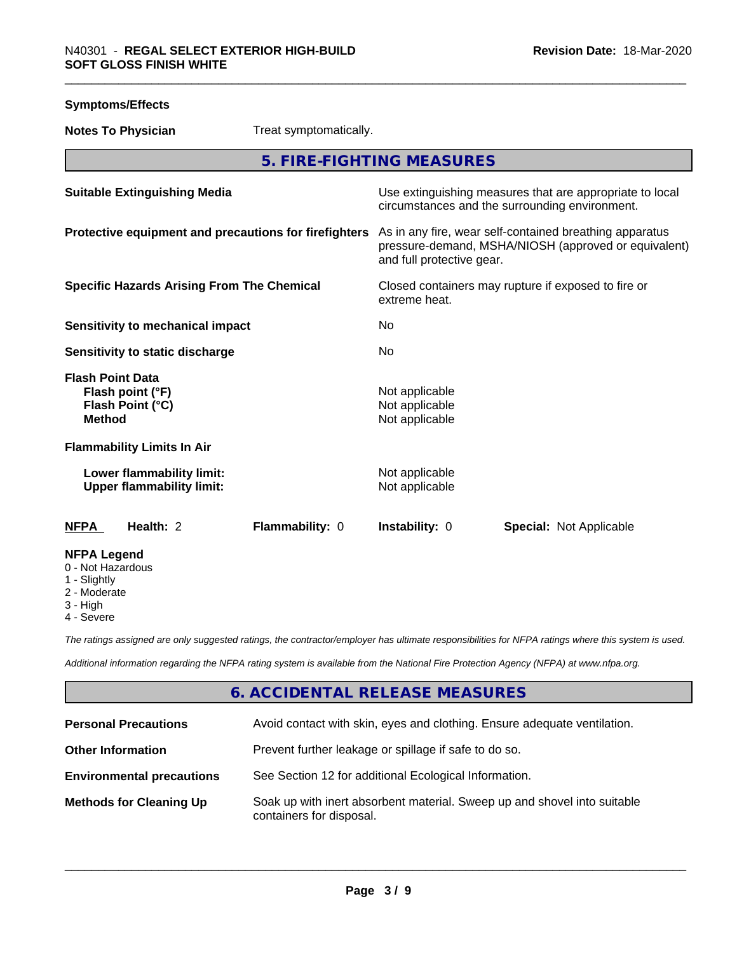| <b>Symptoms/Effects</b>                                                          |                                                    |                                                                                                                 |
|----------------------------------------------------------------------------------|----------------------------------------------------|-----------------------------------------------------------------------------------------------------------------|
| <b>Notes To Physician</b>                                                        | Treat symptomatically.                             |                                                                                                                 |
|                                                                                  | 5. FIRE-FIGHTING MEASURES                          |                                                                                                                 |
| <b>Suitable Extinguishing Media</b>                                              |                                                    | Use extinguishing measures that are appropriate to local<br>circumstances and the surrounding environment.      |
| Protective equipment and precautions for firefighters                            | and full protective gear.                          | As in any fire, wear self-contained breathing apparatus<br>pressure-demand, MSHA/NIOSH (approved or equivalent) |
| <b>Specific Hazards Arising From The Chemical</b>                                | extreme heat.                                      | Closed containers may rupture if exposed to fire or                                                             |
| <b>Sensitivity to mechanical impact</b>                                          | N <sub>0</sub>                                     |                                                                                                                 |
| Sensitivity to static discharge                                                  | No                                                 |                                                                                                                 |
| <b>Flash Point Data</b><br>Flash point (°F)<br>Flash Point (°C)<br><b>Method</b> | Not applicable<br>Not applicable<br>Not applicable |                                                                                                                 |
| <b>Flammability Limits In Air</b>                                                |                                                    |                                                                                                                 |
| Lower flammability limit:<br><b>Upper flammability limit:</b>                    | Not applicable<br>Not applicable                   |                                                                                                                 |
| Health: 2<br>Flammability: 0<br><b>NFPA</b>                                      | Instability: 0                                     | Special: Not Applicable                                                                                         |
| <b>NFPA Legend</b><br>0 - Not Hazardous<br>1 - Slightly<br>2 - Moderate          |                                                    |                                                                                                                 |

- 3 High
- 4 Severe

*The ratings assigned are only suggested ratings, the contractor/employer has ultimate responsibilities for NFPA ratings where this system is used.*

*Additional information regarding the NFPA rating system is available from the National Fire Protection Agency (NFPA) at www.nfpa.org.*

### **6. ACCIDENTAL RELEASE MEASURES**

| <b>Personal Precautions</b>      | Avoid contact with skin, eyes and clothing. Ensure adequate ventilation.                             |
|----------------------------------|------------------------------------------------------------------------------------------------------|
| <b>Other Information</b>         | Prevent further leakage or spillage if safe to do so.                                                |
| <b>Environmental precautions</b> | See Section 12 for additional Ecological Information.                                                |
| <b>Methods for Cleaning Up</b>   | Soak up with inert absorbent material. Sweep up and shovel into suitable<br>containers for disposal. |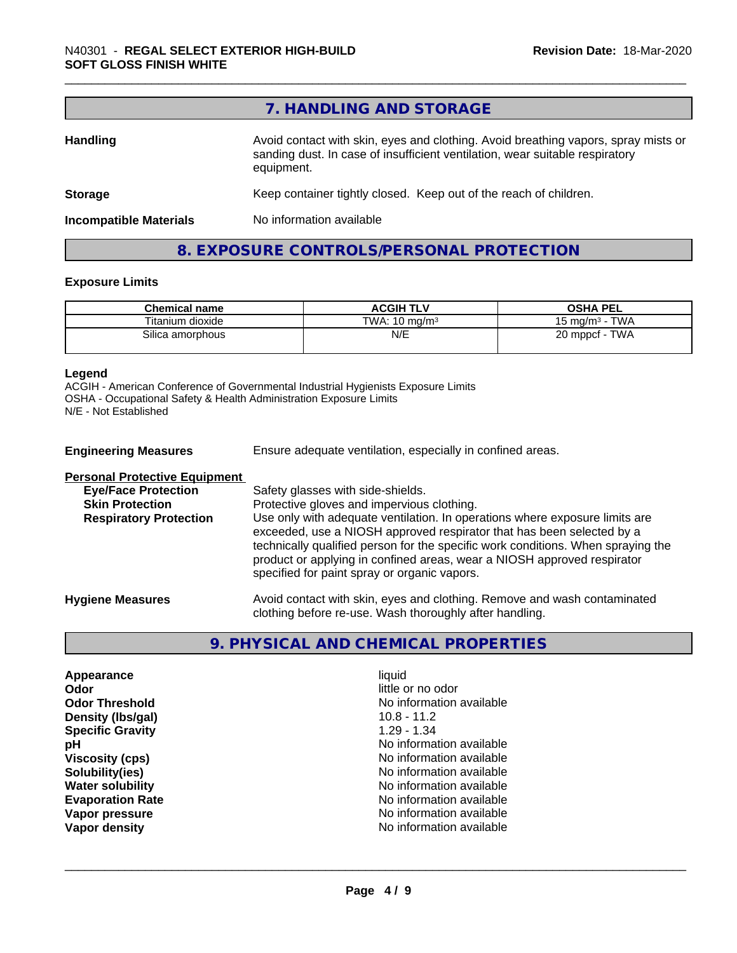|                               | 7. HANDLING AND STORAGE                                                                                                                                                          |
|-------------------------------|----------------------------------------------------------------------------------------------------------------------------------------------------------------------------------|
| Handling                      | Avoid contact with skin, eyes and clothing. Avoid breathing vapors, spray mists or<br>sanding dust. In case of insufficient ventilation, wear suitable respiratory<br>equipment. |
| <b>Storage</b>                | Keep container tightly closed. Keep out of the reach of children.                                                                                                                |
| <b>Incompatible Materials</b> | No information available                                                                                                                                                         |

### **8. EXPOSURE CONTROLS/PERSONAL PROTECTION**

#### **Exposure Limits**

| <b>Chemical name</b> | <b>ACGIH TLV</b>         | <b>OSHA PEL</b>                            |
|----------------------|--------------------------|--------------------------------------------|
| Titanium dioxide     | TWA: $10 \text{ ma/m}^3$ | <b>TWA</b><br>15 mg/m <sup>3</sup> $\cdot$ |
| Silica amorphous     | N/E                      | 20 mppcf - TWA                             |

#### **Legend**

ACGIH - American Conference of Governmental Industrial Hygienists Exposure Limits OSHA - Occupational Safety & Health Administration Exposure Limits N/E - Not Established

| <b>Engineering Measures</b>          | Ensure adequate ventilation, especially in confined areas.                                                                                                                                                                                                                                                                                                          |  |
|--------------------------------------|---------------------------------------------------------------------------------------------------------------------------------------------------------------------------------------------------------------------------------------------------------------------------------------------------------------------------------------------------------------------|--|
| <b>Personal Protective Equipment</b> |                                                                                                                                                                                                                                                                                                                                                                     |  |
| <b>Eye/Face Protection</b>           | Safety glasses with side-shields.                                                                                                                                                                                                                                                                                                                                   |  |
| <b>Skin Protection</b>               | Protective gloves and impervious clothing.                                                                                                                                                                                                                                                                                                                          |  |
| <b>Respiratory Protection</b>        | Use only with adequate ventilation. In operations where exposure limits are<br>exceeded, use a NIOSH approved respirator that has been selected by a<br>technically qualified person for the specific work conditions. When spraying the<br>product or applying in confined areas, wear a NIOSH approved respirator<br>specified for paint spray or organic vapors. |  |
| <b>Hygiene Measures</b>              | Avoid contact with skin, eyes and clothing. Remove and wash contaminated<br>clothing before re-use. Wash thoroughly after handling.                                                                                                                                                                                                                                 |  |

### **9. PHYSICAL AND CHEMICAL PROPERTIES**

**Appearance** liquid **Odor** little or no odor **Density (Ibs/gal)** 10.8 - 11.2<br> **Specific Gravity** 1.29 - 1.34 **Specific Gravity** 

**Odor Threshold**<br> **Density (Ibs/gal)**<br> **Density (Ibs/gal)**<br> **No information available**<br>
10.8 - 11.2 **pH** No information available **Viscosity (cps)** No information available **Solubility(ies)** No information available **Water solubility Water solubility Water solubility Water solubility No information available Evaporation Rate No information available No information available Vapor pressure No information available Vapor density Vapor** density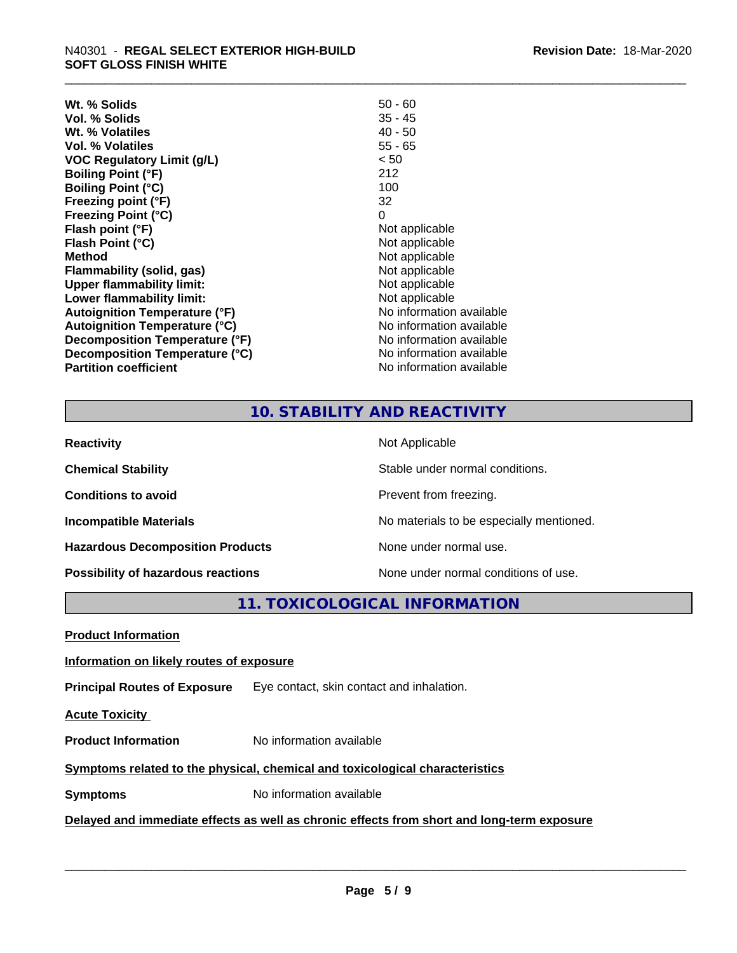| $50 - 60$                |
|--------------------------|
| $35 - 45$                |
| $40 - 50$                |
| $55 - 65$                |
| < 50                     |
| 212                      |
| 100                      |
| 32                       |
| 0                        |
| Not applicable           |
| Not applicable           |
| Not applicable           |
| Not applicable           |
| Not applicable           |
| Not applicable           |
| No information available |
| No information available |
| No information available |
| No information available |
| No information available |
|                          |

### **10. STABILITY AND REACTIVITY**

| <b>Reactivity</b>                       | Not Applicable                           |
|-----------------------------------------|------------------------------------------|
| <b>Chemical Stability</b>               | Stable under normal conditions.          |
| <b>Conditions to avoid</b>              | Prevent from freezing.                   |
| <b>Incompatible Materials</b>           | No materials to be especially mentioned. |
| <b>Hazardous Decomposition Products</b> | None under normal use.                   |
| Possibility of hazardous reactions      | None under normal conditions of use.     |

**11. TOXICOLOGICAL INFORMATION**

**Product Information**

#### **Information on likely routes of exposure**

**Principal Routes of Exposure** Eye contact, skin contact and inhalation.

**Acute Toxicity** 

**Product Information** No information available

#### **Symptoms** related to the physical, chemical and toxicological characteristics

**Symptoms** No information available

#### **Delayed and immediate effects as well as chronic effects from short and long-term exposure**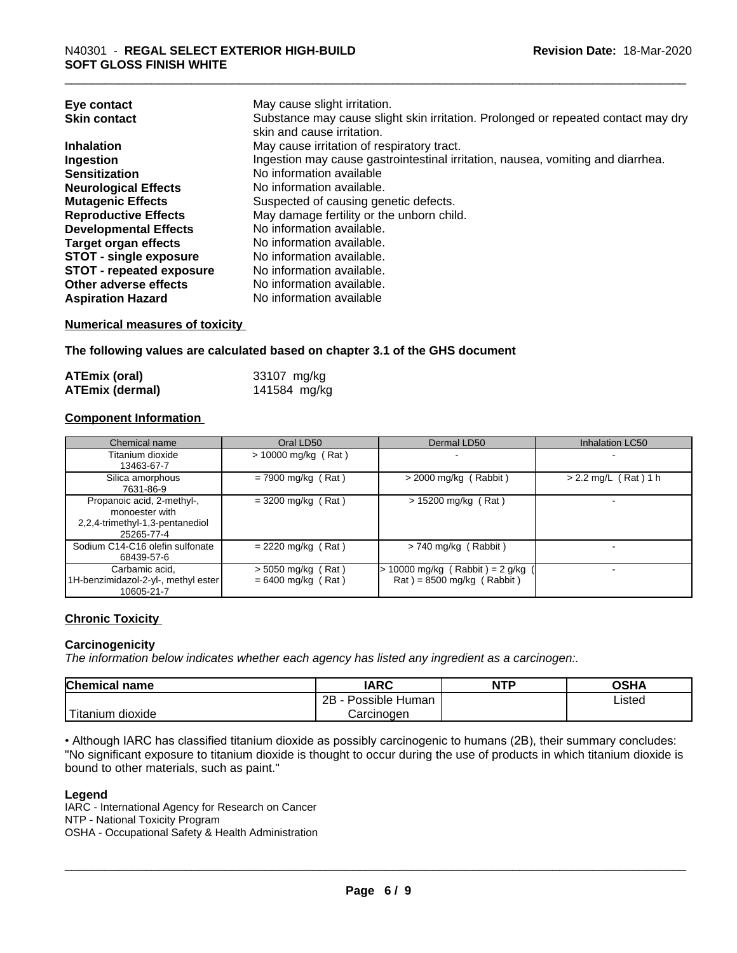| Eye contact                     | May cause slight irritation.                                                      |
|---------------------------------|-----------------------------------------------------------------------------------|
| <b>Skin contact</b>             | Substance may cause slight skin irritation. Prolonged or repeated contact may dry |
|                                 | skin and cause irritation.                                                        |
| <b>Inhalation</b>               | May cause irritation of respiratory tract.                                        |
| Ingestion                       | Ingestion may cause gastrointestinal irritation, nausea, vomiting and diarrhea.   |
| <b>Sensitization</b>            | No information available                                                          |
| <b>Neurological Effects</b>     | No information available.                                                         |
| <b>Mutagenic Effects</b>        | Suspected of causing genetic defects.                                             |
| <b>Reproductive Effects</b>     | May damage fertility or the unborn child.                                         |
| <b>Developmental Effects</b>    | No information available.                                                         |
| <b>Target organ effects</b>     | No information available.                                                         |
| <b>STOT - single exposure</b>   | No information available.                                                         |
| <b>STOT - repeated exposure</b> | No information available.                                                         |
| Other adverse effects           | No information available.                                                         |
| <b>Aspiration Hazard</b>        | No information available                                                          |

#### **Numerical measures of toxicity**

**The following values are calculated based on chapter 3.1 of the GHS document**

| <b>ATEmix (oral)</b>   | 33107 mg/kg  |
|------------------------|--------------|
| <b>ATEmix (dermal)</b> | 141584 mg/kg |

#### **Component Information**

| Chemical name                                                                                 | Oral LD50                                    | Dermal LD50                                                                        | Inhalation LC50        |
|-----------------------------------------------------------------------------------------------|----------------------------------------------|------------------------------------------------------------------------------------|------------------------|
| Titanium dioxide<br>13463-67-7                                                                | $> 10000$ mg/kg (Rat)                        | $\overline{\phantom{0}}$                                                           |                        |
| Silica amorphous<br>7631-86-9                                                                 | $= 7900$ mg/kg (Rat)                         | $>$ 2000 mg/kg (Rabbit)                                                            | $> 2.2$ mg/L (Rat) 1 h |
| Propanoic acid, 2-methyl-,<br>monoester with<br>2,2,4-trimethyl-1,3-pentanediol<br>25265-77-4 | $=$ 3200 mg/kg (Rat)                         | $> 15200$ mg/kg (Rat)                                                              |                        |
| Sodium C14-C16 olefin sulfonate<br>68439-57-6                                                 | $= 2220$ mg/kg (Rat)                         | $> 740$ mg/kg (Rabbit)                                                             |                        |
| Carbamic acid,<br>1H-benzimidazol-2-yl-, methyl ester<br>10605-21-7                           | $>$ 5050 mg/kg (Rat)<br>$= 6400$ mg/kg (Rat) | > 10000 mg/kg (Rabbit) = 2 g/kg<br>$\text{Rat}$ ) = 8500 mg/kg ( $\text{Rabbit}$ ) |                        |

#### **Chronic Toxicity**

#### **Carcinogenicity**

*The information below indicateswhether each agency has listed any ingredient as a carcinogen:.*

| <b>Chemical name</b>          | <b>IARC</b>                 | <b>NTP</b> | <b>OSHA</b> |
|-------------------------------|-----------------------------|------------|-------------|
|                               | . .<br>2B<br>Possible Human |            | Listed      |
| . .<br>dioxide ו<br>l itanıum | Carcinogen                  |            |             |

• Although IARC has classified titanium dioxide as possibly carcinogenic to humans (2B), their summary concludes: "No significant exposure to titanium dioxide is thought to occur during the use of products in which titanium dioxide is bound to other materials, such as paint."

#### **Legend**

IARC - International Agency for Research on Cancer NTP - National Toxicity Program OSHA - Occupational Safety & Health Administration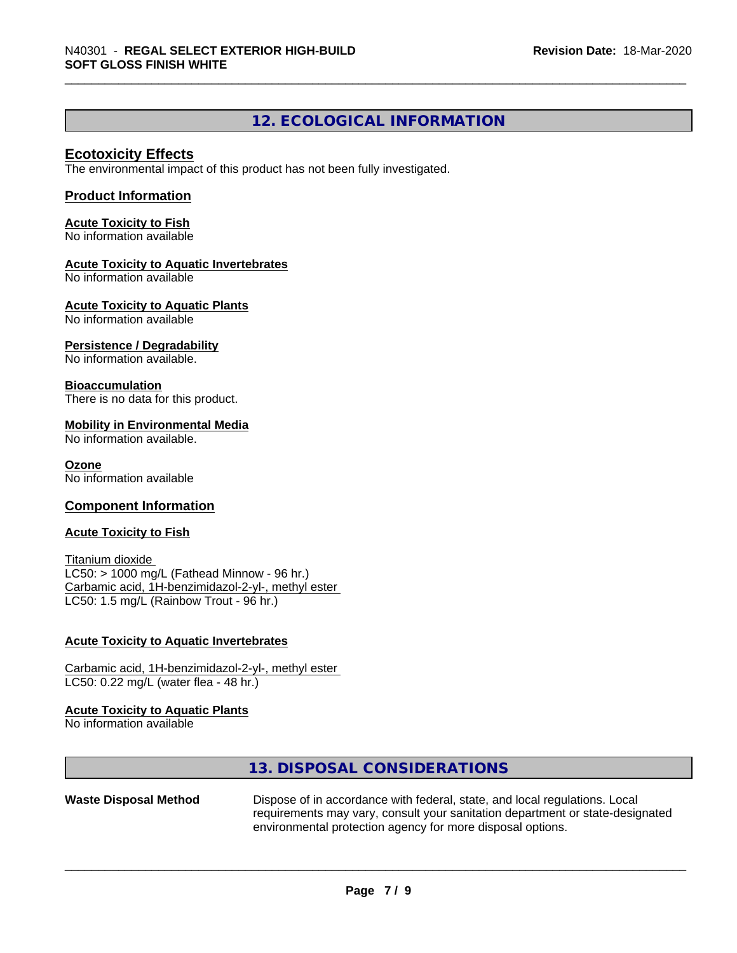#### **12. ECOLOGICAL INFORMATION**

#### **Ecotoxicity Effects**

The environmental impact of this product has not been fully investigated.

#### **Product Information**

**Acute Toxicity to Fish** No information available

#### **Acute Toxicity to Aquatic Invertebrates**

No information available

**Acute Toxicity to Aquatic Plants**

No information available

#### **Persistence / Degradability**

No information available.

#### **Bioaccumulation**

There is no data for this product.

#### **Mobility in Environmental Media**

No information available.

#### **Ozone**

No information available

#### **Component Information**

#### **Acute Toxicity to Fish**

Titanium dioxide  $LC50:$  > 1000 mg/L (Fathead Minnow - 96 hr.) Carbamic acid, 1H-benzimidazol-2-yl-, methyl ester LC50: 1.5 mg/L (Rainbow Trout - 96 hr.)

#### **Acute Toxicity to Aquatic Invertebrates**

Carbamic acid, 1H-benzimidazol-2-yl-, methyl ester LC50: 0.22 mg/L (water flea - 48 hr.)

#### **Acute Toxicity to Aquatic Plants**

No information available

#### **13. DISPOSAL CONSIDERATIONS**

**Waste Disposal Method** Dispose of in accordance with federal, state, and local regulations. Local requirements may vary, consult your sanitation department or state-designated environmental protection agency for more disposal options.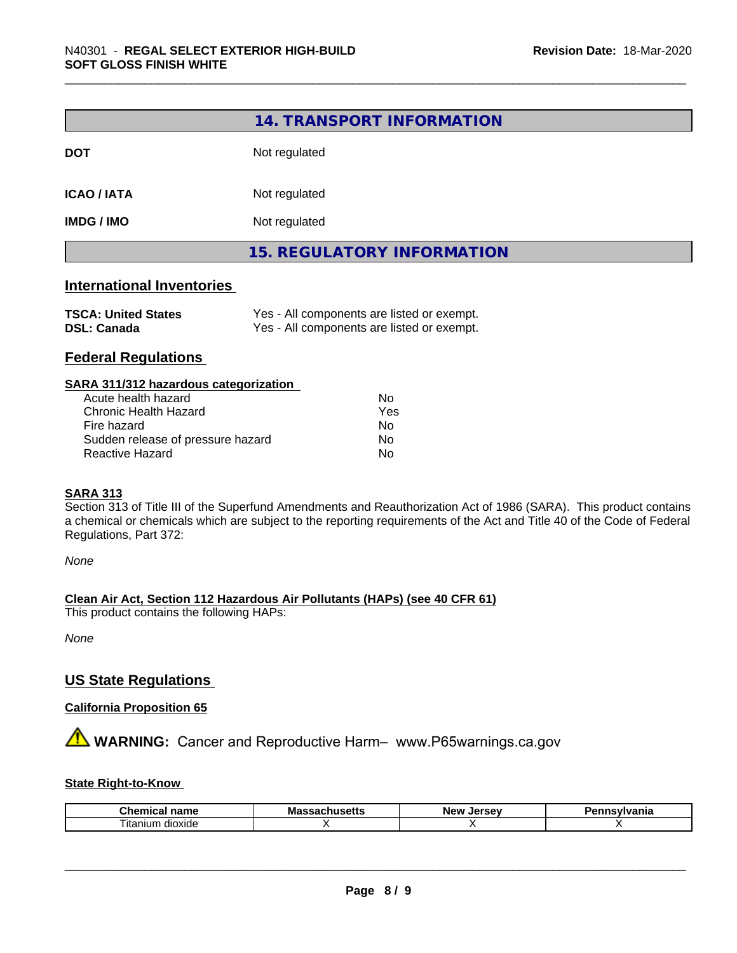|                           | 14. TRANSPORT INFORMATION         |  |  |
|---------------------------|-----------------------------------|--|--|
| <b>DOT</b>                | Not regulated                     |  |  |
| <b>ICAO / IATA</b>        | Not regulated                     |  |  |
| <b>IMDG / IMO</b>         | Not regulated                     |  |  |
|                           | <b>15. REGULATORY INFORMATION</b> |  |  |
| International Inventories |                                   |  |  |

#### **International Inventories**

| <b>TSCA: United States</b> | Yes - All components are listed or exempt. |
|----------------------------|--------------------------------------------|
| <b>DSL: Canada</b>         | Yes - All components are listed or exempt. |

#### **Federal Regulations**

| SARA 311/312 hazardous categorization |     |  |
|---------------------------------------|-----|--|
| Acute health hazard                   | Nο  |  |
| <b>Chronic Health Hazard</b>          | Yes |  |
| Fire hazard                           | Nο  |  |
| Sudden release of pressure hazard     | No  |  |
| Reactive Hazard                       | No  |  |

#### **SARA 313**

Section 313 of Title III of the Superfund Amendments and Reauthorization Act of 1986 (SARA). This product contains a chemical or chemicals which are subject to the reporting requirements of the Act and Title 40 of the Code of Federal Regulations, Part 372:

*None*

**Clean Air Act,Section 112 Hazardous Air Pollutants (HAPs) (see 40 CFR 61)**

This product contains the following HAPs:

*None*

#### **US State Regulations**

#### **California Proposition 65**

**A** WARNING: Cancer and Reproductive Harm– www.P65warnings.ca.gov

#### **State Right-to-Know**

| Chemical<br>name    | ''<br>massacnu<br>. | Jersev<br>New | <b>ivlvania</b><br>-- - |
|---------------------|---------------------|---------------|-------------------------|
| litanium<br>dioxide |                     |               |                         |